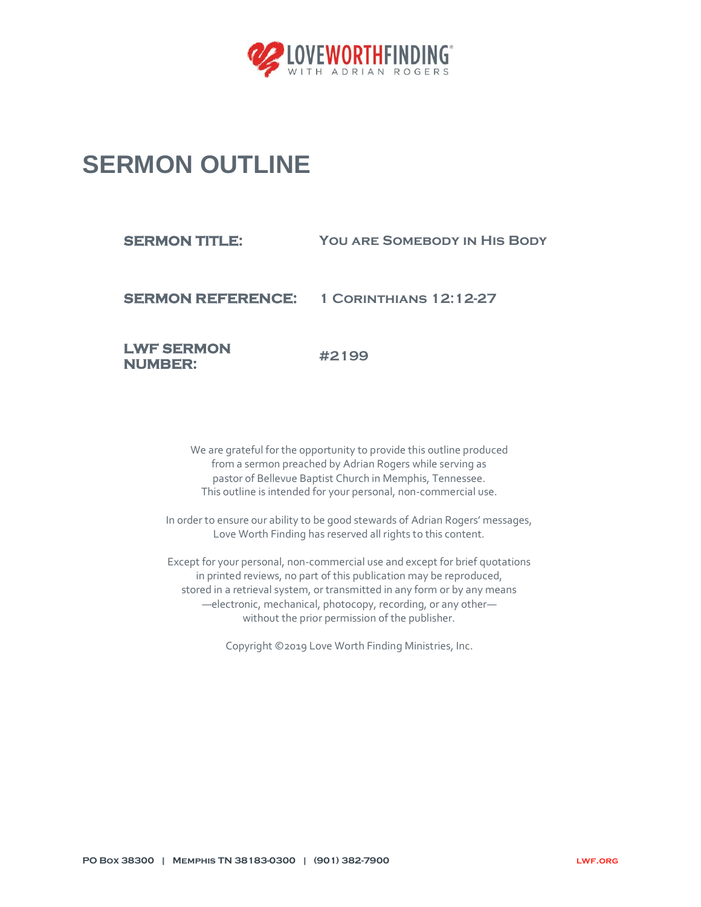

## **SERMON OUTLINE**

## **SERMON TITLE:** YOU ARE SOMEBODY IN HIS BODY

**SERMON REFERENCE: 1 Corinthians 12:12-27**

**LWF SERMON NUMBER:** 

**#2199**

We are grateful for the opportunity to provide this outline produced from a sermon preached by Adrian Rogers while serving as pastor of Bellevue Baptist Church in Memphis, Tennessee. This outline is intended for your personal, non-commercial use.

In order to ensure our ability to be good stewards of Adrian Rogers' messages, Love Worth Finding has reserved all rights to this content.

Except for your personal, non-commercial use and except for brief quotations in printed reviews, no part of this publication may be reproduced, stored in a retrieval system, or transmitted in any form or by any means —electronic, mechanical, photocopy, recording, or any other without the prior permission of the publisher.

Copyright ©2019 Love Worth Finding Ministries, Inc.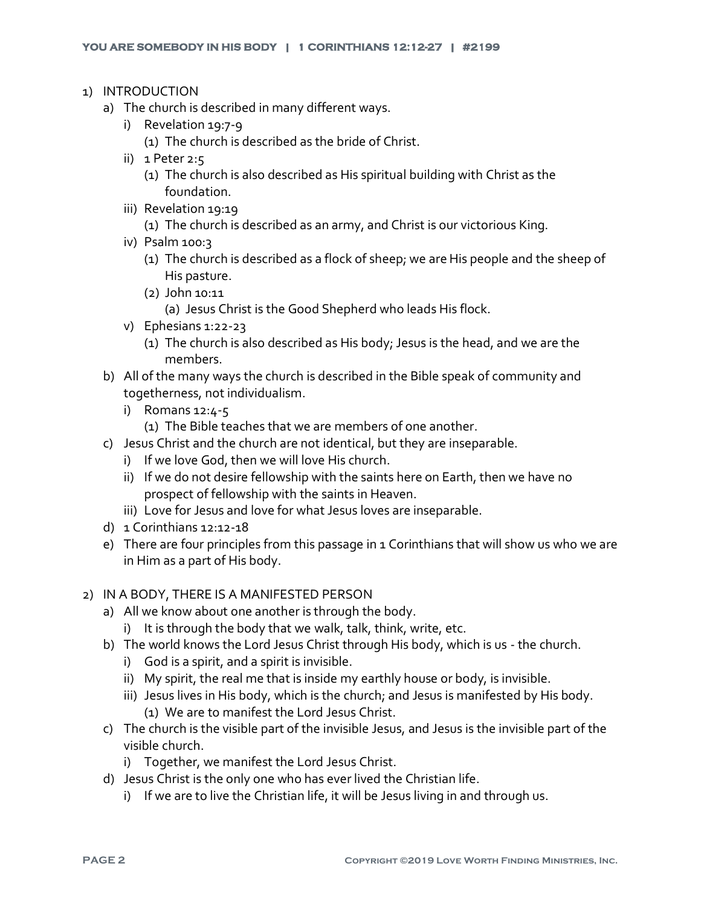- 1) INTRODUCTION
	- a) The church is described in many different ways.
		- i) Revelation 19:7-9
			- (1) The church is described as the bride of Christ.
		- ii) 1 Peter 2:5
			- (1) The church is also described as His spiritual building with Christ as the foundation.
		- iii) Revelation 19:19
			- (1) The church is described as an army, and Christ is our victorious King.
		- iv) Psalm 100:3
			- (1) The church is described as a flock of sheep; we are His people and the sheep of His pasture.
			- (2) John 10:11
				- (a) Jesus Christ is the Good Shepherd who leads His flock.
		- v) Ephesians 1:22-23
			- (1) The church is also described as His body; Jesus is the head, and we are the members.
	- b) All of the many ways the church is described in the Bible speak of community and togetherness, not individualism.
		- i) Romans 12:4-5
			- (1) The Bible teaches that we are members of one another.
	- c) Jesus Christ and the church are not identical, but they are inseparable.
		- i) If we love God, then we will love His church.
		- ii) If we do not desire fellowship with the saints here on Earth, then we have no prospect of fellowship with the saints in Heaven.
		- iii) Love for Jesus and love for what Jesus loves are inseparable.
	- d) 1 Corinthians 12:12-18
	- e) There are four principles from this passage in 1 Corinthians that will show us who we are in Him as a part of His body.

## 2) IN A BODY, THERE IS A MANIFESTED PERSON

- a) All we know about one another is through the body.
	- i) It is through the body that we walk, talk, think, write, etc.
- b) The world knows the Lord Jesus Christ through His body, which is us the church.
	- i) God is a spirit, and a spirit is invisible.
	- ii) My spirit, the real me that is inside my earthly house or body, is invisible.
	- iii) Jesus lives in His body, which is the church; and Jesus is manifested by His body. (1) We are to manifest the Lord Jesus Christ.
- c) The church is the visible part of the invisible Jesus, and Jesus is the invisible part of the visible church.
	- i) Together, we manifest the Lord Jesus Christ.
- d) Jesus Christ is the only one who has ever lived the Christian life.
	- i) If we are to live the Christian life, it will be Jesus living in and through us.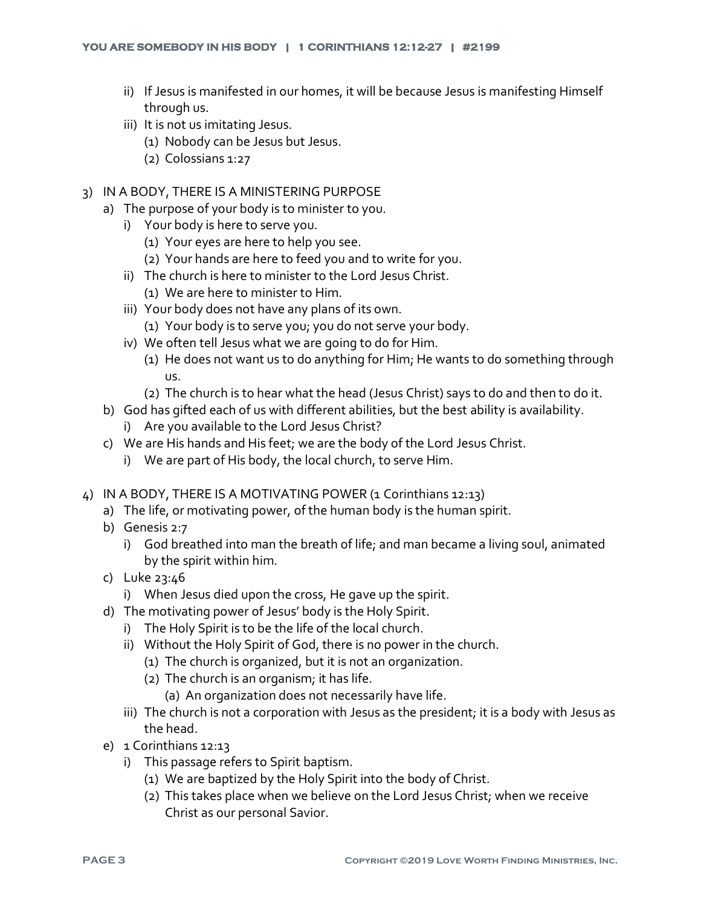- ii) If Jesus is manifested in our homes, it will be because Jesus is manifesting Himself through us.
- iii) It is not us imitating Jesus.
	- (1) Nobody can be Jesus but Jesus.
	- (2) Colossians 1:27
- 3) IN A BODY, THERE IS A MINISTERING PURPOSE
	- a) The purpose of your body is to minister to you.
		- i) Your body is here to serve you.
			- (1) Your eyes are here to help you see.
			- (2) Your hands are here to feed you and to write for you.
		- ii) The church is here to minister to the Lord Jesus Christ.
			- (1) We are here to minister to Him.
		- iii) Your body does not have any plans of its own.
			- (1) Your body is to serve you; you do not serve your body.
		- iv) We often tell Jesus what we are going to do for Him.
			- (1) He does not want us to do anything for Him; He wants to do something through us.
			- (2) The church is to hear what the head (Jesus Christ) says to do and then to do it.
	- b) God has gifted each of us with different abilities, but the best ability is availability.
		- i) Are you available to the Lord Jesus Christ?
	- c) We are His hands and His feet; we are the body of the Lord Jesus Christ.
		- i) We are part of His body, the local church, to serve Him.
- 4) IN A BODY, THERE IS A MOTIVATING POWER (1 Corinthians 12:13)
	- a) The life, or motivating power, of the human body is the human spirit.
	- b) Genesis 2:7
		- i) God breathed into man the breath of life; and man became a living soul, animated by the spirit within him.
	- c) Luke 23:46
		- i) When Jesus died upon the cross, He gave up the spirit.
	- d) The motivating power of Jesus' body is the Holy Spirit.
		- i) The Holy Spirit is to be the life of the local church.
		- ii) Without the Holy Spirit of God, there is no power in the church.
			- (1) The church is organized, but it is not an organization.
			- (2) The church is an organism; it has life.
				- (a) An organization does not necessarily have life.
		- iii) The church is not a corporation with Jesus as the president; it is a body with Jesus as the head.
	- e) 1 Corinthians 12:13
		- i) This passage refers to Spirit baptism.
			- (1) We are baptized by the Holy Spirit into the body of Christ.
			- (2) This takes place when we believe on the Lord Jesus Christ; when we receive Christ as our personal Savior.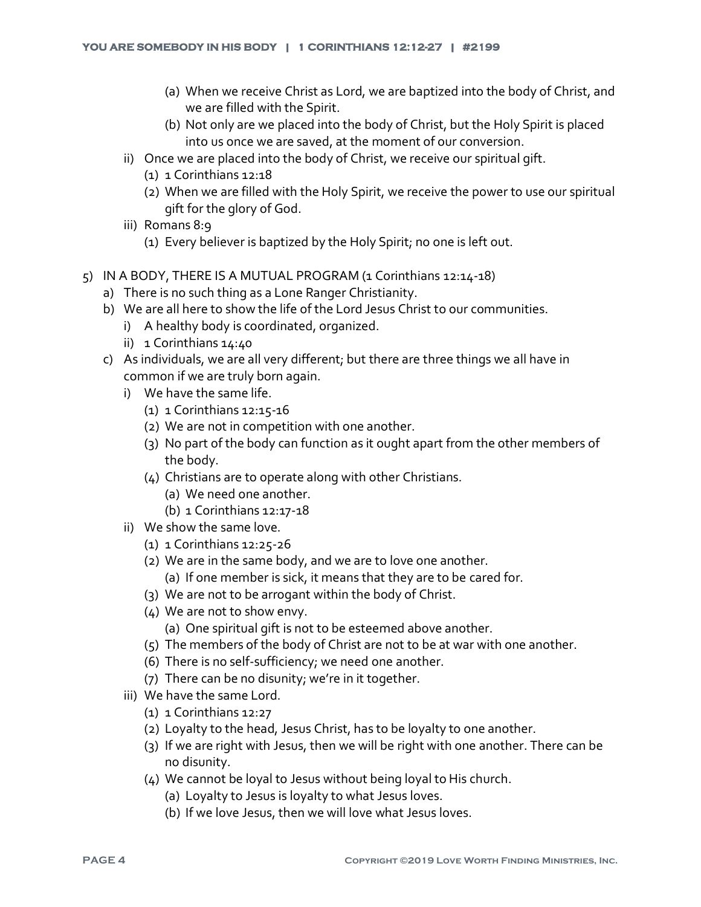- (a) When we receive Christ as Lord, we are baptized into the body of Christ, and we are filled with the Spirit.
- (b) Not only are we placed into the body of Christ, but the Holy Spirit is placed into us once we are saved, at the moment of our conversion.
- ii) Once we are placed into the body of Christ, we receive our spiritual gift.
	- (1) 1 Corinthians 12:18
	- (2) When we are filled with the Holy Spirit, we receive the power to use our spiritual gift for the glory of God.
- iii) Romans 8:9
	- (1) Every believer is baptized by the Holy Spirit; no one is left out.
- $5)$  IN A BODY, THERE IS A MUTUAL PROGRAM (1 Corinthians 12:14-18)
	- a) There is no such thing as a Lone Ranger Christianity.
	- b) We are all here to show the life of the Lord Jesus Christ to our communities.
		- i) A healthy body is coordinated, organized.
		- ii) 1 Corinthians 14:40
	- c) As individuals, we are all very different; but there are three things we all have in common if we are truly born again.
		- i) We have the same life.
			- (1) 1 Corinthians 12:15-16
			- (2) We are not in competition with one another.
			- (3) No part of the body can function as it ought apart from the other members of the body.
			- (4) Christians are to operate along with other Christians.
				- (a) We need one another.
				- (b) 1 Corinthians 12:17-18
		- ii) We show the same love.
			- (1) 1 Corinthians 12:25-26
			- (2) We are in the same body, and we are to love one another.
				- (a) If one member is sick, it means that they are to be cared for.
			- (3) We are not to be arrogant within the body of Christ.
			- (4) We are not to show envy.
				- (a) One spiritual gift is not to be esteemed above another.
			- (5) The members of the body of Christ are not to be at war with one another.
			- (6) There is no self-sufficiency; we need one another.
			- (7) There can be no disunity; we're in it together.
		- iii) We have the same Lord.
			- (1) 1 Corinthians 12:27
			- (2) Loyalty to the head, Jesus Christ, has to be loyalty to one another.
			- (3) If we are right with Jesus, then we will be right with one another. There can be no disunity.
			- (4) We cannot be loyal to Jesus without being loyal to His church.
				- (a) Loyalty to Jesus is loyalty to what Jesus loves.
				- (b) If we love Jesus, then we will love what Jesus loves.